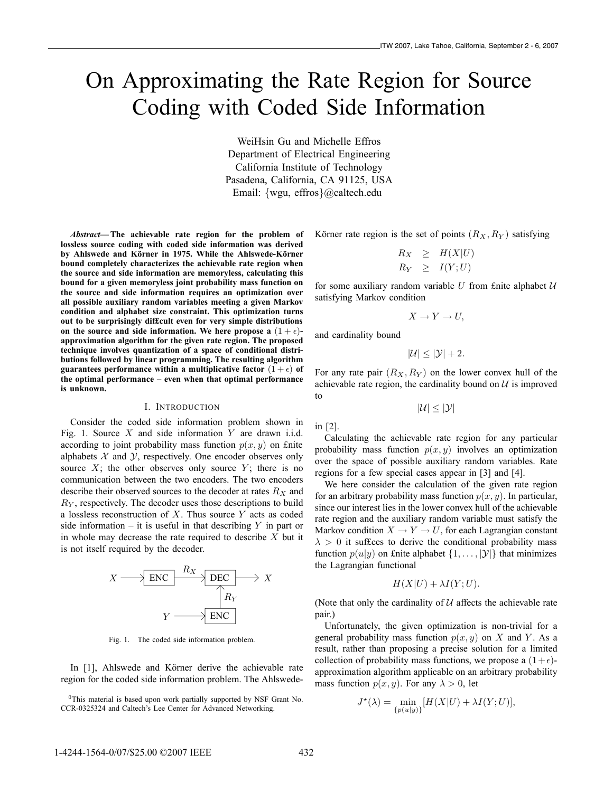# On Approximating the Rate Region for Source Coding with Coded Side Information

WeiHsin Gu and Michelle Effros Department of Electrical Engineering California Institute of Technology Pasadena, California, CA 91125, USA Email: {wgu, effros}@caltech.edu

*Abstract***— The achievable rate region for the problem of lossless source coding with coded side information was derived** by Ahlswede and Körner in 1975. While the Ahlswede-Körner **bound completely characterizes the achievable rate region when the source and side information are memoryless, calculating this bound for a given memoryless joint probability mass function on the source and side information requires an optimization over all possible auxiliary random variables meeting a given Markov condition and alphabet size constraint. This optimization turns out to be surprisingly dif£cult even for very simple distributions** on the source and side information. We here propose a  $(1 + \epsilon)$ **approximation algorithm for the given rate region. The proposed technique involves quantization of a space of conditional distributions followed by linear programming. The resulting algorithm** guarantees performance within a multiplicative factor  $(1+\epsilon)$  of **the optimal performance – even when that optimal performance is unknown.**

#### I. INTRODUCTION

Consider the coded side information problem shown in Fig. 1. Source  $X$  and side information  $Y$  are drawn i.i.d. according to joint probability mass function  $p(x, y)$  on £nite alphabets  $X$  and  $Y$ , respectively. One encoder observes only source  $X$ ; the other observes only source  $Y$ ; there is no communication between the two encoders. The two encoders describe their observed sources to the decoder at rates  $R_X$  and  $R_Y$ , respectively. The decoder uses those descriptions to build a lossless reconstruction of  $X$ . Thus source  $Y$  acts as coded side information – it is useful in that describing  $Y$  in part or in whole may decrease the rate required to describe  $X$  but it is not itself required by the decoder.



Fig. 1. The coded side information problem.

In [1], Ahlswede and Körner derive the achievable rate region for the coded side information problem. The Ahlswede-

<sup>0</sup>This material is based upon work partially supported by NSF Grant No. CCR-0325324 and Caltech's Lee Center for Advanced Networking.

Korner rate region is the set of points  $(R_X, R_Y)$  satisfying

$$
R_X \geq H(X|U) \nR_Y \geq I(Y;U)
$$

for some auxiliary random variable  $U$  from £nite alphabet  $U$ satisfying Markov condition

$$
X \to Y \to U,
$$

and cardinality bound

 $|\mathcal{U}| < |\mathcal{Y}| + 2.$ 

For any rate pair  $(R_X, R_Y)$  on the lower convex hull of the achievable rate region, the cardinality bound on  $U$  is improved to

 $|U| \leq |Y|$ 

in [2].

Calculating the achievable rate region for any particular probability mass function  $p(x, y)$  involves an optimization over the space of possible auxiliary random variables. Rate regions for a few special cases appear in [3] and [4].

We here consider the calculation of the given rate region for an arbitrary probability mass function  $p(x, y)$ . In particular, since our interest lies in the lower convex hull of the achievable rate region and the auxiliary random variable must satisfy the Markov condition  $X \to Y \to U$ , for each Lagrangian constant  $\lambda > 0$  it suffices to derive the conditional probability mass function  $p(u|y)$  on £nite alphabet  $\{1,\ldots,|\mathcal{Y}|\}$  that minimizes the Lagrangian functional

$$
H(X|U) + \lambda I(Y;U).
$$

(Note that only the cardinality of  $U$  affects the achievable rate pair.)

Unfortunately, the given optimization is non-trivial for a general probability mass function  $p(x, y)$  on X and Y. As a result, rather than proposing a precise solution for a limited collection of probability mass functions, we propose a  $(1+\epsilon)$ approximation algorithm applicable on an arbitrary probability mass function  $p(x, y)$ . For any  $\lambda > 0$ , let

$$
J^{\star}(\lambda) = \min_{\{p(u|y)\}} [H(X|U) + \lambda I(Y;U)],
$$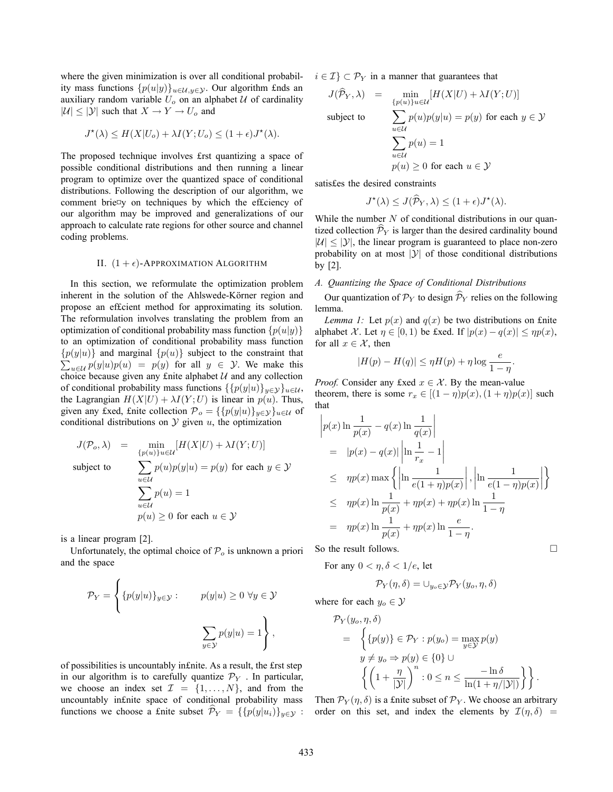where the given minimization is over all conditional probability mass functions  $\{p(u|y)\}_{u\in\mathcal{U},y\in\mathcal{Y}}$ . Our algorithm £nds an auxiliary random variable  $U_o$  on an alphabet  $U$  of cardinality  $|U| \leq |Y|$  such that  $X \to Y \to U_0$  and

$$
J^{\star}(\lambda) \le H(X|U_o) + \lambda I(Y; U_o) \le (1+\epsilon)J^{\star}(\lambda).
$$

The proposed technique involves £rst quantizing a space of possible conditional distributions and then running a linear program to optimize over the quantized space of conditional distributions. Following the description of our algorithm, we comment brie¤y on techniques by which the effciency of our algorithm may be improved and generalizations of our approach to calculate rate regions for other source and channel coding problems.

#### II.  $(1 + \epsilon)$ -APPROXIMATION ALGORITHM

In this section, we reformulate the optimization problem inherent in the solution of the Ahlswede-Körner region and propose an ef£cient method for approximating its solution. The reformulation involves translating the problem from an optimization of conditional probability mass function  $\{p(u|y)\}$ to an optimization of conditional probability mass function  $\sum_{u \in \mathcal{U}} p(y|u)p(u) = p(y)$  for all  $y \in \mathcal{Y}$ . We make this  ${p(y|u)}$  and marginal  ${p(u)}$  subject to the constraint that choice because given any £nite alphabet  $U$  and any collection of conditional probability mass functions  $\{p(y|u)\}_{y\in\mathcal{Y}}\}_{u\in\mathcal{U}}$ , the Lagrangian  $H(X|U) + \lambda I(Y;U)$  is linear in  $p(u)$ . Thus, given any £xed, £nite collection  $\mathcal{P}_o = {\{p(y|u)\}_{y \in \mathcal{Y}}\}_{u \in \mathcal{U}}}$  of conditional distributions on  $Y$  given  $u$ , the optimization

$$
J(\mathcal{P}_o, \lambda) = \min_{\{p(u)\} u \in \mathcal{U}} [H(X|U) + \lambda I(Y; U)]
$$
  
subject to 
$$
\sum_{u \in \mathcal{U}} p(u)p(y|u) = p(y) \text{ for each } y \in \mathcal{Y}
$$

$$
\sum_{u \in \mathcal{U}} p(u) = 1
$$

$$
p(u) \ge 0 \text{ for each } u \in \mathcal{Y}
$$

is a linear program [2].

Unfortunately, the optimal choice of  $P<sub>o</sub>$  is unknown a priori and the space

$$
\mathcal{P}_Y = \left\{ \{ p(y|u) \}_{y \in \mathcal{Y}} : \quad p(y|u) \ge 0 \ \forall y \in \mathcal{Y} \right\}
$$

$$
\sum_{y \in \mathcal{Y}} p(y|u) = 1 \right\},
$$

of possibilities is uncountably in£nite. As a result, the £rst step in our algorithm is to carefully quantize  $\mathcal{P}_Y$ . In particular, we choose an index set  $\mathcal{I} = \{1, \ldots, N\}$ , and from the uncountably in£nite space of conditional probability mass functions we choose a £nite subset  $\mathcal{P}_Y = \{ \{ p(y|u_i) \}_{y \in \mathcal{Y}} :$   $i \in \mathcal{I}$   $\subset \mathcal{P}_Y$  in a manner that guarantees that

$$
J(\hat{\mathcal{P}}_Y, \lambda) = \min_{\{p(u)\} u \in \mathcal{U}} [H(X|U) + \lambda I(Y; U)]
$$
  
subject to  

$$
\sum_{u \in \mathcal{U}} p(u)p(y|u) = p(y) \text{ for each } y \in \mathcal{Y}
$$

$$
\sum_{u \in \mathcal{U}} p(u) = 1
$$

$$
p(u) \ge 0 \text{ for each } u \in \mathcal{Y}
$$

satis£es the desired constraints

$$
J^*(\lambda) \le J(\widehat{\mathcal{P}}_Y, \lambda) \le (1+\epsilon)J^*(\lambda).
$$

While the number  $N$  of conditional distributions in our quantized collection  $\mathcal{P}_Y$  is larger than the desired cardinality bound  $|U| \leq |Y|$ , the linear program is guaranteed to place non-zero probability on at most  $|y|$  of those conditional distributions by [2].

## *A. Quantizing the Space of Conditional Distributions*

Our quantization of  $\mathcal{P}_Y$  to design  $\mathcal{P}_Y$  relies on the following lemma.

*Lemma 1:* Let  $p(x)$  and  $q(x)$  be two distributions on £nite alphabet X. Let  $\eta \in [0, 1)$  be £xed. If  $|p(x) - q(x)| \leq \eta p(x)$ , for all  $x \in \mathcal{X}$ , then

$$
|H(p) - H(q)| \le \eta H(p) + \eta \log \frac{e}{1 - \eta}.
$$

*Proof.* Consider any £xed  $x \in \mathcal{X}$ . By the mean-value theorem, there is some  $r_x \in [(1 - \eta)p(x), (1 + \eta)p(x)]$  such that

$$
\begin{aligned}\n\left| p(x) \ln \frac{1}{p(x)} - q(x) \ln \frac{1}{q(x)} \right| \\
&= |p(x) - q(x)| \left| \ln \frac{1}{r_x} - 1 \right| \\
&\leq \eta p(x) \max \left\{ \left| \ln \frac{1}{e(1 + \eta)p(x)} \right|, \left| \ln \frac{1}{e(1 - \eta)p(x)} \right| \right\} \\
&\leq \eta p(x) \ln \frac{1}{p(x)} + \eta p(x) + \eta p(x) \ln \frac{1}{1 - \eta} \\
&= \eta p(x) \ln \frac{1}{p(x)} + \eta p(x) \ln \frac{e}{1 - \eta}.\n\end{aligned}
$$
\no the result follows.

So the result follows.

For any  $0 < \eta, \delta < 1/e$ , let

$$
\mathcal{P}_Y(\eta,\delta) = \bigcup_{y_o \in \mathcal{Y}} \mathcal{P}_Y(y_o, \eta, \delta)
$$

where for each  $y_o \in \mathcal{Y}$ 

$$
\mathcal{P}_Y(y_o, \eta, \delta)
$$
\n
$$
= \left\{ \{p(y)\} \in \mathcal{P}_Y : p(y_o) = \max_{y \in \mathcal{Y}} p(y) \right\}
$$
\n
$$
y \neq y_o \Rightarrow p(y) \in \{0\} \cup \left\{ \left(1 + \frac{\eta}{|\mathcal{Y}|}\right)^n : 0 \leq n \leq \frac{-\ln \delta}{\ln(1 + \eta/|\mathcal{Y}|)} \right\} \right\}.
$$

Then  $\mathcal{P}_Y(\eta, \delta)$  is a finite subset of  $\mathcal{P}_Y$ . We choose an arbitrary<br>order on this set, and index the elements by  $\mathcal{T}(n, \delta)$ order on this set, and index the elements by  $\mathcal{I}(\eta, \delta)$  =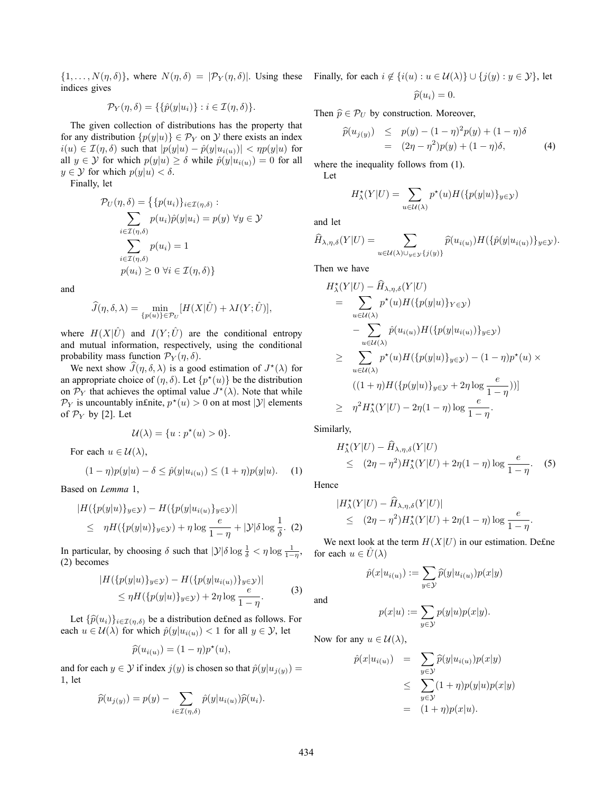$\{1,\ldots,N(\eta,\delta)\}\$ , where  $N(\eta,\delta) = |\mathcal{P}_Y(\eta,\delta)|$ . Using these indices gives

$$
\mathcal{P}_Y(\eta,\delta) = \{\{\hat{p}(y|u_i)\} : i \in \mathcal{I}(\eta,\delta)\}.
$$

The given collection of distributions has the property that for any distribution  $\{p(y|u)\}\in \mathcal{P}_Y$  on  $\mathcal Y$  there exists an index  $i(u) \in \mathcal{I}(\eta, \delta)$  such that  $|p(y|u) - \hat{p}(y|u_{i(u)})| < \eta p(y|u)$  for all  $y \in Y$  for which  $p(y|u) \ge \delta$  while  $\hat{p}(y|u_{i(u)})=0$  for all  $y \in \mathcal{Y}$  for which  $p(y|u) < \delta$ .

Finally, let

$$
\mathcal{P}_U(\eta, \delta) = \{ \{ p(u_i) \}_{i \in \mathcal{I}(\eta, \delta)} : \\ \sum_{i \in \mathcal{I}(\eta, \delta)} p(u_i) \hat{p}(y | u_i) = p(y) \ \forall y \in \mathcal{Y} \\ \sum_{i \in \mathcal{I}(\eta, \delta)} p(u_i) = 1 \\ p(u_i) \ge 0 \ \forall i \in \mathcal{I}(\eta, \delta) \}
$$

and

$$
\widehat{J}(\eta,\delta,\lambda) = \min_{\{p(u)\}\in\mathcal{P}_U} [H(X|\hat{U}) + \lambda I(Y;\hat{U})],
$$

where  $H(X|\hat{U})$  and  $I(Y; \hat{U})$  are the conditional entropy and mutual information, respectively, using the conditional probability mass function  $\mathcal{P}_Y(\eta, \delta)$ .

We next show  $\widehat{J}(\eta, \delta, \lambda)$  is a good estimation of  $J^*(\lambda)$  for any contract choice of  $(n, \delta)$ . Let  $\{n^*(u)\}$  be the distribution an appropriate choice of  $(\eta, \delta)$ . Let  $\{p^*(u)\}$  be the distribution<br>on  $\mathcal{D}_{\epsilon}$  that achieves the optimal value  $I^*(\lambda)$ . Note that while on  $\mathcal{P}_Y$  that achieves the optimal value  $J^*(\lambda)$ . Note that while<br> $\mathcal{P}_Y$  is uncountably infinite  $n^*(u) > 0$  on at most  $|Y|$  elements  $\mathcal{P}_Y$  is uncountably in£nite,  $p^*(u) > 0$  on at most  $|Y|$  elements of  $\mathcal{P}_Y$  by [2]. Let

$$
\mathcal{U}(\lambda) = \{u : p^*(u) > 0\}.
$$

For each  $u \in \mathcal{U}(\lambda)$ ,

$$
(1 - \eta)p(y|u) - \delta \le \hat{p}(y|u_{i(u)}) \le (1 + \eta)p(y|u). \tag{1}
$$

Based on *Lemma* 1,

$$
|H(\{p(y|u)\}_{y\in\mathcal{Y}}) - H(\{p(y|u_{i(u)}\}_{y\in\mathcal{Y}})|
$$
  
\n
$$
\leq \eta H(\{p(y|u)\}_{y\in\mathcal{Y}}) + \eta \log \frac{e}{1-\eta} + |\mathcal{Y}|\delta \log \frac{1}{\delta}.
$$
 (2)

In particular, by choosing  $\delta$  such that  $|\mathcal{Y}|\delta \log \frac{1}{\delta} < \eta \log \frac{1}{1-\eta}$ , (2) becomes

$$
|H(\{p(y|u)\}_{y\in\mathcal{Y}}) - H(\{p(y|u_{i(u)})\}_{y\in\mathcal{Y}})|
$$
  
\n
$$
\leq \eta H(\{p(y|u)\}_{y\in\mathcal{Y}}) + 2\eta \log \frac{e}{1-\eta}.
$$
 (3)

Let  $\{\widehat{p}(u_i)\}_{i\in\mathcal{I}(\eta,\delta)}$  be a distribution defined as follows. For  $v \in \mathcal{U}(\lambda)$  for which  $\widehat{p}(u|u_{i,j}) < 1$  for all  $u \in \mathcal{V}$  let each  $u \in \mathcal{U}(\lambda)$  for which  $\hat{p}(y|u_{i(u)}) < 1$  for all  $y \in \mathcal{Y}$ , let

$$
\widehat{p}(u_{i(u)}) = (1 - \eta)p^*(u),
$$

and for each  $y \in Y$  if index  $j(y)$  is chosen so that  $\hat{p}(y|u_{j(y)}) =$ 1, let

$$
\widehat{p}(u_{j(y)}) = p(y) - \sum_{i \in \mathcal{I}(\eta,\delta)} \widehat{p}(y|u_{i(u)}) \widehat{p}(u_i).
$$

Finally, for each  $i \notin \{i(u) : u \in \mathcal{U}(\lambda)\} \cup \{j(u) : y \in \mathcal{Y}\}\)$ , let

$$
\widehat{p}(u_i)=0.
$$

Then  $\hat{p} \in \mathcal{P}_U$  by construction. Moreover,

$$
\begin{align}\n\widehat{p}(u_{j(y)}) &\leq p(y) - (1 - \eta)^2 p(y) + (1 - \eta)\delta \\
&= (2\eta - \eta^2)p(y) + (1 - \eta)\delta,\n\end{align}
$$

where the inequality follows from (1).

$$
H^{\star}_{\lambda}(Y|U) = \sum_{u \in \mathcal{U}(\lambda)} p^{\star}(u) H(\{p(y|u)\}_{y \in \mathcal{Y}})
$$

and let

Let

$$
\widehat{H}_{\lambda,\eta,\delta}(Y|U) = \sum_{u \in \mathcal{U}(\lambda) \cup_{y \in \mathcal{Y}} \{j(y)\}} \widehat{p}(u_{i(u)}) H(\{\widehat{p}(y|u_{i(u)})\}_{y \in \mathcal{Y}}).
$$

Then we have

$$
H_{\lambda}^{\star}(Y|U) - \widehat{H}_{\lambda,\eta,\delta}(Y|U)
$$
  
\n
$$
= \sum_{u \in \mathcal{U}(\lambda)} p^{\star}(u)H(\{p(y|u)\}_{Y \in \mathcal{Y}})
$$
  
\n
$$
- \sum_{u \in \mathcal{U}(\lambda)} \widehat{p}(u_{i(u)})H(\{p(y|u_{i(u)})\}_{y \in \mathcal{Y}})
$$
  
\n
$$
\geq \sum_{u \in \mathcal{U}(\lambda)} p^{\star}(u)H(\{p(y|u)\}_{y \in \mathcal{Y}}) - (1 - \eta)p^{\star}(u) \times
$$
  
\n
$$
((1 + \eta)H(\{p(y|u)\}_{y \in \mathcal{Y}} + 2\eta \log \frac{e}{1 - \eta}))
$$
  
\n
$$
\geq \eta^{2}H_{\lambda}^{\star}(Y|U) - 2\eta(1 - \eta) \log \frac{e}{1 - \eta}.
$$

Similarly,

$$
H_{\lambda}^{*}(Y|U) - \widehat{H}_{\lambda,\eta,\delta}(Y|U)
$$
  
\n
$$
\leq (2\eta - \eta^{2})H_{\lambda}^{*}(Y|U) + 2\eta(1-\eta)\log \frac{e}{1-\eta}.
$$
 (5)

Hence

$$
|H^{\star}_{\lambda}(Y|U) - \widehat{H}_{\lambda,\eta,\delta}(Y|U)|
$$
  
\n
$$
\leq (2\eta - \eta^2)H^{\star}_{\lambda}(Y|U) + 2\eta(1-\eta)\log \frac{e}{1-\eta}.
$$

We next look at the term  $H(X|U)$  in our estimation. Define for each  $u \in \hat{U}(\lambda)$ 

$$
\hat{p}(x|u_{i(u)}) := \sum_{y \in \mathcal{Y}} \widehat{p}(y|u_{i(u)}) p(x|y)
$$

and

$$
p(x|u) := \sum_{y \in \mathcal{Y}} p(y|u)p(x|y).
$$

Now for any  $u \in \mathcal{U}(\lambda)$ ,

$$
\hat{p}(x|u_{i(u)}) = \sum_{y \in \mathcal{Y}} \hat{p}(y|u_{i(u)})p(x|y) \n\leq \sum_{y \in \mathcal{Y}} (1+\eta)p(y|u)p(x|y) \n= (1+\eta)p(x|u).
$$